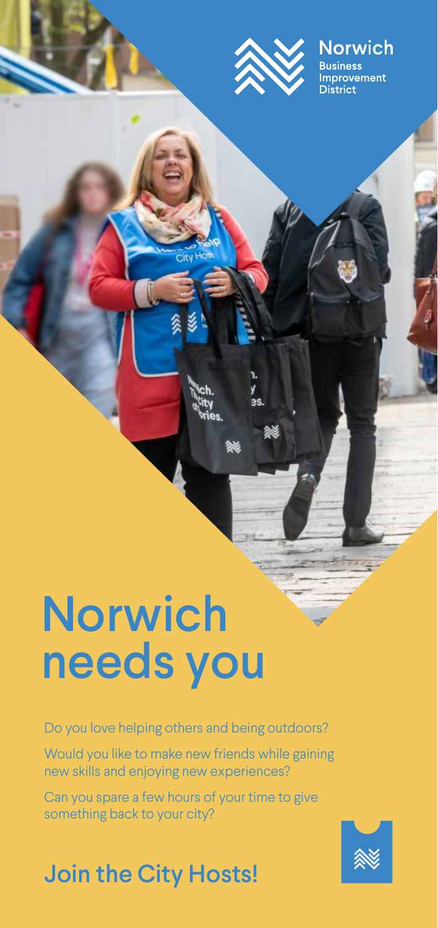

## **Norwich**

*v*ement

## Norwich needs you

Do you love helping others and being outdoors?

Would you like to make new friends while gaining new skills and enjoying new experiences?

Can you spare a few hours of your time to give something back to your city?

## Join the City Hosts!